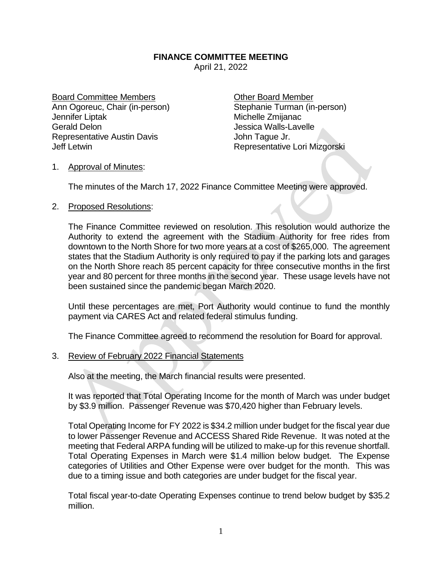## **FINANCE COMMITTEE MEETING**

April 21, 2022

Board Committee Members **Committee Members** Committee Member Ann Ogoreuc, Chair (in-person) Stephanie Turman (in-person) Jennifer Liptak Michelle Zmijanac Gerald Delon Gerald Delon Jessica Walls-Lavelle Representative Austin Davis **Francisco Exercise Serverse John Tague Jr.** Jeff Letwin Representative Lori Mizgorski

## 1. Approval of Minutes:

The minutes of the March 17, 2022 Finance Committee Meeting were approved.

## 2. Proposed Resolutions:

The Finance Committee reviewed on resolution. This resolution would authorize the Authority to extend the agreement with the Stadium Authority for free rides from downtown to the North Shore for two more years at a cost of \$265,000. The agreement states that the Stadium Authority is only required to pay if the parking lots and garages on the North Shore reach 85 percent capacity for three consecutive months in the first year and 80 percent for three months in the second year. These usage levels have not been sustained since the pandemic began March 2020.

Until these percentages are met, Port Authority would continue to fund the monthly payment via CARES Act and related federal stimulus funding.

The Finance Committee agreed to recommend the resolution for Board for approval.

## 3. Review of February 2022 Financial Statements

Also at the meeting, the March financial results were presented.

It was reported that Total Operating Income for the month of March was under budget by \$3.9 million. Passenger Revenue was \$70,420 higher than February levels.

Total Operating Income for FY 2022 is \$34.2 million under budget for the fiscal year due to lower Passenger Revenue and ACCESS Shared Ride Revenue. It was noted at the meeting that Federal ARPA funding will be utilized to make-up for this revenue shortfall. Total Operating Expenses in March were \$1.4 million below budget. The Expense categories of Utilities and Other Expense were over budget for the month. This was due to a timing issue and both categories are under budget for the fiscal year.

Total fiscal year-to-date Operating Expenses continue to trend below budget by \$35.2 million.